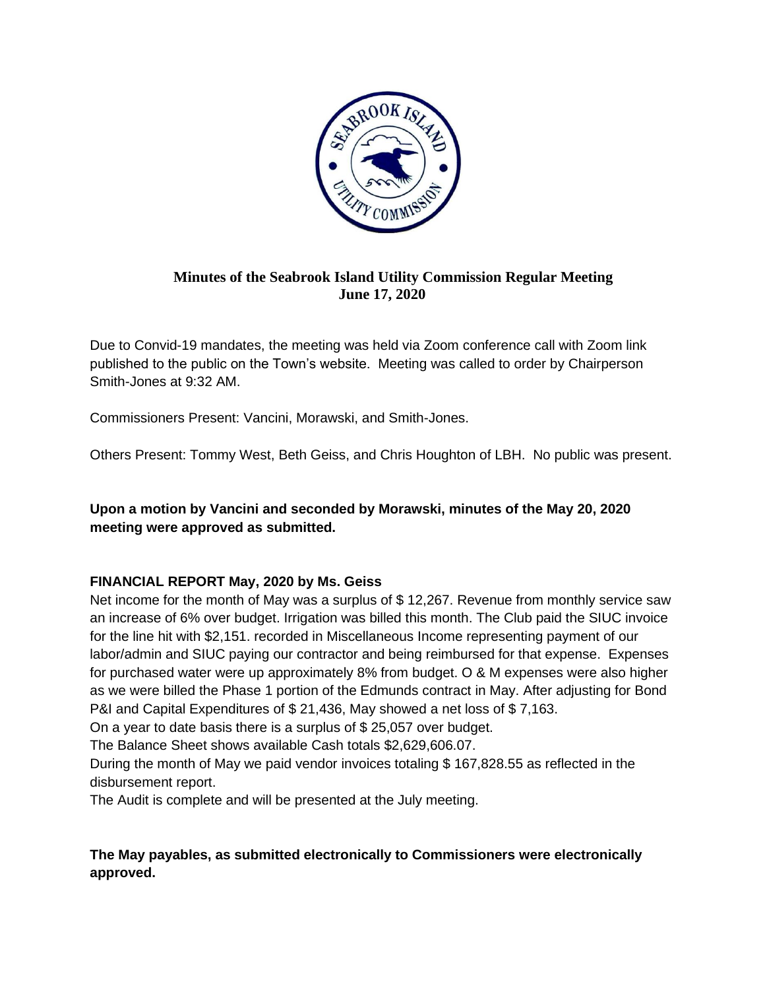

# **Minutes of the Seabrook Island Utility Commission Regular Meeting June 17, 2020**

Due to Convid-19 mandates, the meeting was held via Zoom conference call with Zoom link published to the public on the Town's website. Meeting was called to order by Chairperson Smith-Jones at 9:32 AM.

Commissioners Present: Vancini, Morawski, and Smith-Jones.

Others Present: Tommy West, Beth Geiss, and Chris Houghton of LBH. No public was present.

**Upon a motion by Vancini and seconded by Morawski, minutes of the May 20, 2020 meeting were approved as submitted.**

# **FINANCIAL REPORT May, 2020 by Ms. Geiss**

Net income for the month of May was a surplus of \$ 12,267. Revenue from monthly service saw an increase of 6% over budget. Irrigation was billed this month. The Club paid the SIUC invoice for the line hit with \$2,151. recorded in Miscellaneous Income representing payment of our labor/admin and SIUC paying our contractor and being reimbursed for that expense. Expenses for purchased water were up approximately 8% from budget. O & M expenses were also higher as we were billed the Phase 1 portion of the Edmunds contract in May. After adjusting for Bond P&I and Capital Expenditures of \$ 21,436, May showed a net loss of \$ 7,163.

On a year to date basis there is a surplus of \$ 25,057 over budget.

The Balance Sheet shows available Cash totals \$2,629,606.07.

During the month of May we paid vendor invoices totaling \$ 167,828.55 as reflected in the disbursement report.

The Audit is complete and will be presented at the July meeting.

# **The May payables, as submitted electronically to Commissioners were electronically approved.**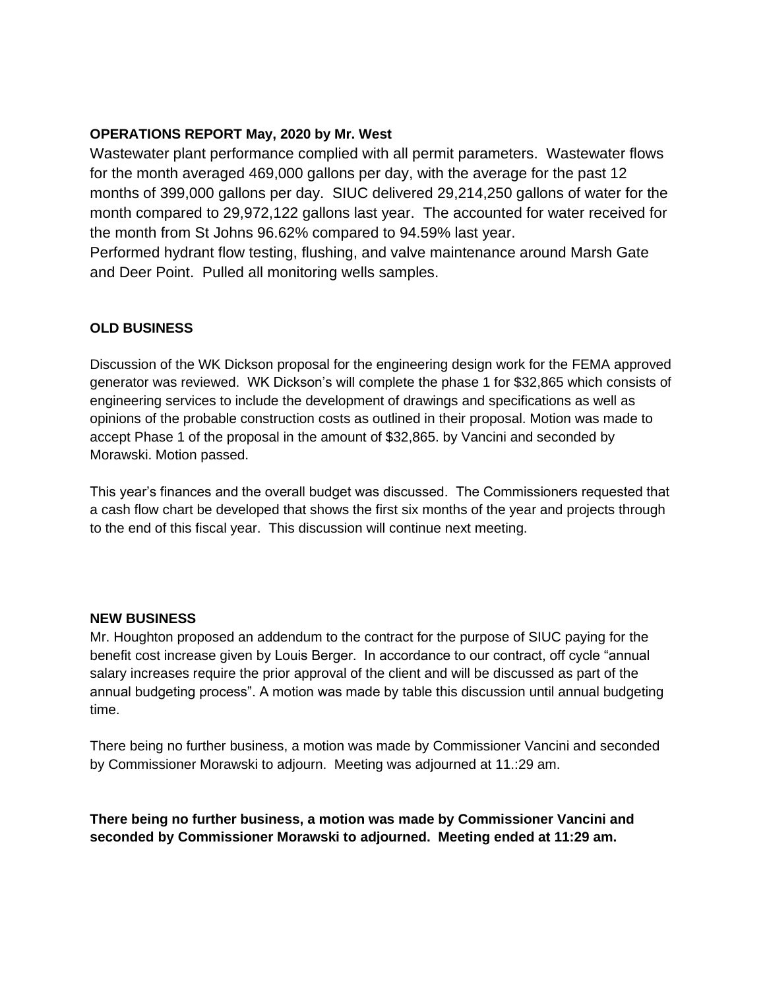## **OPERATIONS REPORT May, 2020 by Mr. West**

Wastewater plant performance complied with all permit parameters. Wastewater flows for the month averaged 469,000 gallons per day, with the average for the past 12 months of 399,000 gallons per day. SIUC delivered 29,214,250 gallons of water for the month compared to 29,972,122 gallons last year. The accounted for water received for the month from St Johns 96.62% compared to 94.59% last year.

Performed hydrant flow testing, flushing, and valve maintenance around Marsh Gate and Deer Point. Pulled all monitoring wells samples.

# **OLD BUSINESS**

Discussion of the WK Dickson proposal for the engineering design work for the FEMA approved generator was reviewed. WK Dickson's will complete the phase 1 for \$32,865 which consists of engineering services to include the development of drawings and specifications as well as opinions of the probable construction costs as outlined in their proposal. Motion was made to accept Phase 1 of the proposal in the amount of \$32,865. by Vancini and seconded by Morawski. Motion passed.

This year's finances and the overall budget was discussed. The Commissioners requested that a cash flow chart be developed that shows the first six months of the year and projects through to the end of this fiscal year. This discussion will continue next meeting.

## **NEW BUSINESS**

Mr. Houghton proposed an addendum to the contract for the purpose of SIUC paying for the benefit cost increase given by Louis Berger. In accordance to our contract, off cycle "annual salary increases require the prior approval of the client and will be discussed as part of the annual budgeting process". A motion was made by table this discussion until annual budgeting time.

There being no further business, a motion was made by Commissioner Vancini and seconded by Commissioner Morawski to adjourn. Meeting was adjourned at 11.:29 am.

**There being no further business, a motion was made by Commissioner Vancini and seconded by Commissioner Morawski to adjourned. Meeting ended at 11:29 am.**